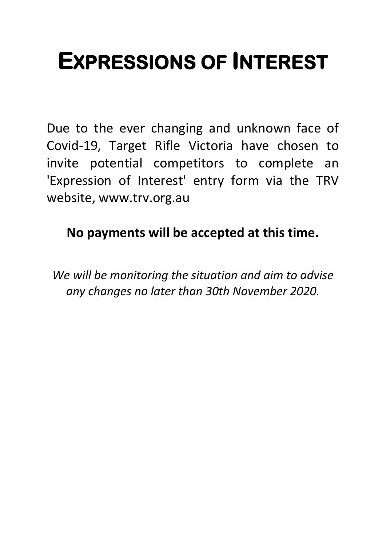# **EXPRESSIONS OF INTEREST**

Due to the ever changing and unknown face of Covid-19, Target Rifle Victoria have chosen to invite potential competitors to complete an 'Expression of Interest' entry form via the TRV website, www.trv.org.au

**No payments will be accepted at this time.**

*We will be monitoring the situation and aim to advise any changes no later than 30th November 2020.*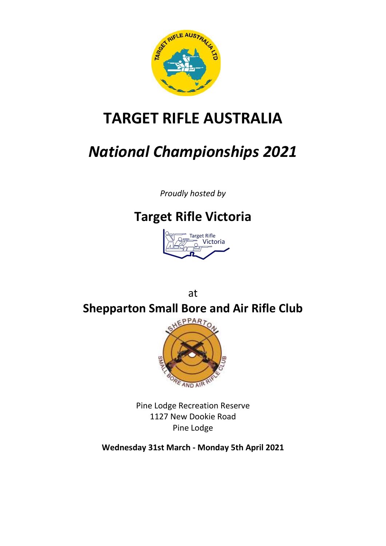

# **TARGET RIFLE AUSTRALIA**

# *National Championships 2021*

*Proudly hosted by*

# **Target Rifle Victoria**



at **Shepparton Small Bore and Air Rifle Club**



Pine Lodge Recreation Reserve 1127 New Dookie Road Pine Lodge

**Wednesday 31st March - Monday 5th April 2021**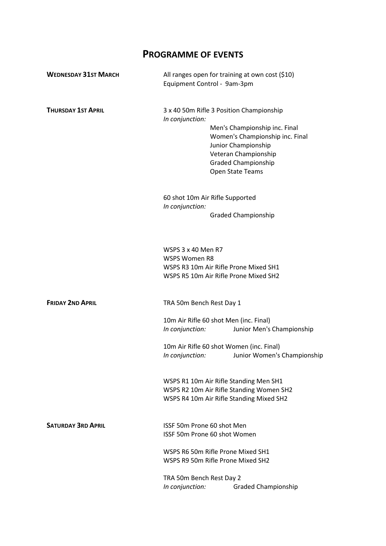# **PROGRAMME OF EVENTS**

| <b>WEDNESDAY 31ST MARCH</b> | All ranges open for training at own cost (\$10)<br>Equipment Control - 9am-3pm                                                 |                                                                                                                                                                                                               |  |  |
|-----------------------------|--------------------------------------------------------------------------------------------------------------------------------|---------------------------------------------------------------------------------------------------------------------------------------------------------------------------------------------------------------|--|--|
| <b>THURSDAY 1ST APRIL</b>   | In conjunction:                                                                                                                | 3 x 40 50m Rifle 3 Position Championship<br>Men's Championship inc. Final<br>Women's Championship inc. Final<br>Junior Championship<br>Veteran Championship<br><b>Graded Championship</b><br>Open State Teams |  |  |
|                             | In conjunction:                                                                                                                | 60 shot 10m Air Rifle Supported<br><b>Graded Championship</b>                                                                                                                                                 |  |  |
|                             | WSPS 3 x 40 Men R7<br><b>WSPS Women R8</b><br>WSPS R3 10m Air Rifle Prone Mixed SH1<br>WSPS R5 10m Air Rifle Prone Mixed SH2   |                                                                                                                                                                                                               |  |  |
| <b>FRIDAY 2ND APRIL</b>     | TRA 50m Bench Rest Day 1                                                                                                       |                                                                                                                                                                                                               |  |  |
|                             | In conjunction:                                                                                                                | 10m Air Rifle 60 shot Men (inc. Final)<br>Junior Men's Championship                                                                                                                                           |  |  |
|                             | In conjunction:                                                                                                                | 10m Air Rifle 60 shot Women (inc. Final)<br>Junior Women's Championship                                                                                                                                       |  |  |
|                             | WSPS R1 10m Air Rifle Standing Men SH1<br>WSPS R2 10m Air Rifle Standing Women SH2<br>WSPS R4 10m Air Rifle Standing Mixed SH2 |                                                                                                                                                                                                               |  |  |
| <b>SATURDAY 3RD APRIL</b>   | ISSE 50m Prone 60 shot Men<br><b>ISSF 50m Prone 60 shot Women</b>                                                              |                                                                                                                                                                                                               |  |  |
|                             | WSPS R6 50m Rifle Prone Mixed SH1<br>WSPS R9 50m Rifle Prone Mixed SH2                                                         |                                                                                                                                                                                                               |  |  |
|                             | TRA 50m Bench Rest Day 2<br>In conjunction:                                                                                    | <b>Graded Championship</b>                                                                                                                                                                                    |  |  |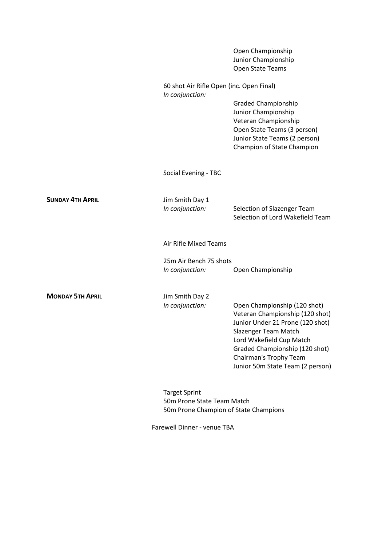|                         |                                                                | Open Championship<br>Junior Championship<br>Open State Teams                                                                                                                                                                                            |  |
|-------------------------|----------------------------------------------------------------|---------------------------------------------------------------------------------------------------------------------------------------------------------------------------------------------------------------------------------------------------------|--|
|                         | 60 shot Air Rifle Open (inc. Open Final)<br>In conjunction:    |                                                                                                                                                                                                                                                         |  |
|                         |                                                                | <b>Graded Championship</b><br>Junior Championship<br>Veteran Championship<br>Open State Teams (3 person)<br>Junior State Teams (2 person)<br>Champion of State Champion                                                                                 |  |
|                         | Social Evening - TBC                                           |                                                                                                                                                                                                                                                         |  |
| <b>SUNDAY 4TH APRIL</b> | Jim Smith Day 1<br>In conjunction:                             | Selection of Slazenger Team<br>Selection of Lord Wakefield Team                                                                                                                                                                                         |  |
|                         | Air Rifle Mixed Teams                                          |                                                                                                                                                                                                                                                         |  |
|                         | 25m Air Bench 75 shots<br>Open Championship<br>In conjunction: |                                                                                                                                                                                                                                                         |  |
|                         |                                                                |                                                                                                                                                                                                                                                         |  |
| <b>MONDAY 5TH APRIL</b> | Jim Smith Day 2                                                |                                                                                                                                                                                                                                                         |  |
|                         | In conjunction:                                                | Open Championship (120 shot)<br>Veteran Championship (120 shot)<br>Junior Under 21 Prone (120 shot)<br>Slazenger Team Match<br>Lord Wakefield Cup Match<br>Graded Championship (120 shot)<br>Chairman's Trophy Team<br>Junior 50m State Team (2 person) |  |
|                         | <b>Target Sprint</b><br>50m Prone State Team Match             |                                                                                                                                                                                                                                                         |  |

50m Prone Champion of State Champions

Farewell Dinner - venue TBA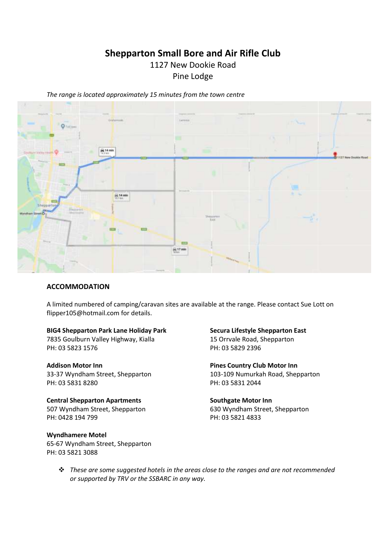# **Shepparton Small Bore and Air Rifle Club**

# 1127 New Dookie Road

Pine Lodge

*The range is located approximately 15 minutes from the town centre* 



#### **ACCOMMODATION**

A limited numbered of camping/caravan sites are available at the range. Please contact Sue Lott on flipper105@hotmail.com for details.

#### **BIG4 Shepparton Park Lane Holiday Park Secura Lifestyle Shepparton East**

7835 Goulburn Valley Highway, Kialla 15 Orrvale Road, Shepparton PH: 03 5823 1576 PH: 03 5829 2396

PH: 03 5831 8280 PH: 03 5831 2044

Central Shepparton Apartments **Southgate Motor Inn** 507 Wyndham Street, Shepparton 630 Wyndham Street, Shepparton PH: 0428 194 799 PH: 03 5821 4833

**Wyndhamere Motel**  65-67 Wyndham Street, Shepparton PH: 03 5821 3088

Addison Motor Inn **Pines Country Club Motor Inn** 33-37 Wyndham Street, Shepparton 103-109 Numurkah Road, Shepparton

❖ *These are some suggested hotels in the areas close to the ranges and are not recommended or supported by TRV or the SSBARC in any way.*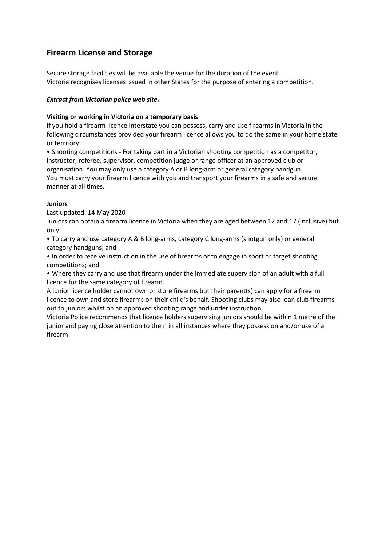## **Firearm License and Storage**

Secure storage facilities will be available the venue for the duration of the event. Victoria recognises licenses issued in other States for the purpose of entering a competition.

#### *Extract from Victorian police web site.*

#### **Visiting or working in Victoria on a temporary basis**

If you hold a firearm licence interstate you can possess, carry and use firearms in Victoria in the following circumstances provided your firearm licence allows you to do the same in your home state or territory:

• Shooting competitions - For taking part in a Victorian shooting competition as a competitor, instructor, referee, supervisor, competition judge or range officer at an approved club or organisation. You may only use a category A or B long-arm or general category handgun. You must carry your firearm licence with you and transport your firearms in a safe and secure manner at all times.

#### **Juniors**

Last updated: 14 May 2020

Juniors can obtain a firearm licence in Victoria when they are aged between 12 and 17 (inclusive) but only:

• To carry and use category A & B long-arms, category C long-arms (shotgun only) or general category handguns; and

• In order to receive instruction in the use of firearms or to engage in sport or target shooting competitions; and

• Where they carry and use that firearm under the immediate supervision of an adult with a full licence for the same category of firearm.

A junior licence holder cannot own or store firearms but their parent(s) can apply for a firearm licence to own and store firearms on their child's behalf. Shooting clubs may also loan club firearms out to juniors whilst on an approved shooting range and under instruction.

Victoria Police recommends that licence holders supervising juniors should be within 1 metre of the junior and paying close attention to them in all instances where they possession and/or use of a firearm.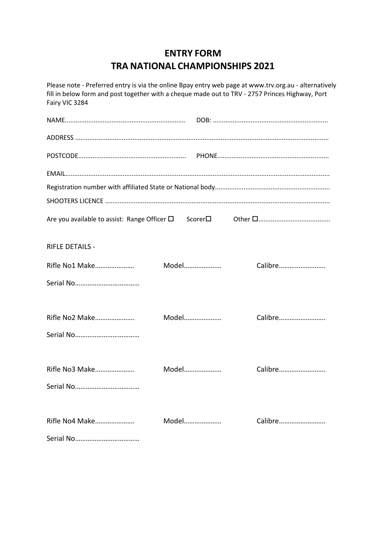# **ENTRY FORM TRA NATIONAL CHAMPIONSHIPS 2021**

| Please note - Preferred entry is via the online Bpay entry web page at www.trv.org.au - alternatively<br>fill in below form and post together with a cheque made out to TRV - 2757 Princes Highway, Port<br>Fairy VIC 3284 |       |         |  |  |  |  |  |
|----------------------------------------------------------------------------------------------------------------------------------------------------------------------------------------------------------------------------|-------|---------|--|--|--|--|--|
|                                                                                                                                                                                                                            |       |         |  |  |  |  |  |
|                                                                                                                                                                                                                            |       |         |  |  |  |  |  |
|                                                                                                                                                                                                                            |       |         |  |  |  |  |  |
|                                                                                                                                                                                                                            |       |         |  |  |  |  |  |
|                                                                                                                                                                                                                            |       |         |  |  |  |  |  |
|                                                                                                                                                                                                                            |       |         |  |  |  |  |  |
|                                                                                                                                                                                                                            |       |         |  |  |  |  |  |
| <b>RIFLE DETAILS -</b>                                                                                                                                                                                                     |       |         |  |  |  |  |  |
| Rifle No1 Make                                                                                                                                                                                                             | Model | Calibre |  |  |  |  |  |
|                                                                                                                                                                                                                            |       |         |  |  |  |  |  |
|                                                                                                                                                                                                                            |       |         |  |  |  |  |  |
| Rifle No2 Make                                                                                                                                                                                                             | Model | Calibre |  |  |  |  |  |
|                                                                                                                                                                                                                            |       |         |  |  |  |  |  |
| Rifle No3 Make                                                                                                                                                                                                             | Model | Calibre |  |  |  |  |  |
|                                                                                                                                                                                                                            |       |         |  |  |  |  |  |
|                                                                                                                                                                                                                            |       |         |  |  |  |  |  |
| Rifle No4 Make                                                                                                                                                                                                             | Model | Calibre |  |  |  |  |  |
|                                                                                                                                                                                                                            |       |         |  |  |  |  |  |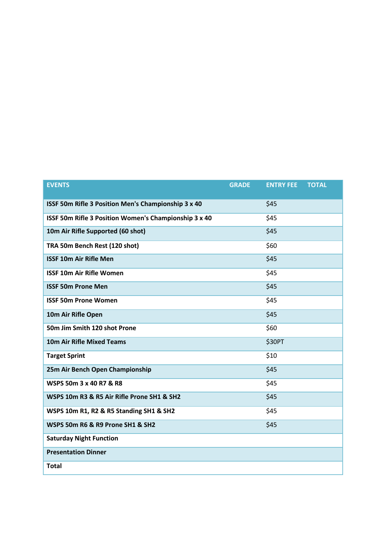| <b>EVENTS</b>                                         | <b>GRADE</b> | <b>ENTRY FEE</b> | <b>TOTAL</b> |
|-------------------------------------------------------|--------------|------------------|--------------|
| ISSF 50m Rifle 3 Position Men's Championship 3 x 40   |              | \$45             |              |
| ISSF 50m Rifle 3 Position Women's Championship 3 x 40 |              | \$45             |              |
| 10m Air Rifle Supported (60 shot)                     |              | \$45             |              |
| TRA 50m Bench Rest (120 shot)                         |              | \$60             |              |
| <b>ISSF 10m Air Rifle Men</b>                         |              | \$45             |              |
| <b>ISSF 10m Air Rifle Women</b>                       |              | \$45             |              |
| <b>ISSF 50m Prone Men</b>                             |              | \$45             |              |
| <b>ISSF 50m Prone Women</b>                           |              | \$45             |              |
| 10m Air Rifle Open                                    |              | \$45             |              |
| 50m Jim Smith 120 shot Prone                          |              | \$60             |              |
| <b>10m Air Rifle Mixed Teams</b>                      |              | \$30PT           |              |
| <b>Target Sprint</b>                                  |              | \$10             |              |
| 25m Air Bench Open Championship                       |              | \$45             |              |
| WSPS 50m 3 x 40 R7 & R8                               |              | \$45             |              |
| WSPS 10m R3 & R5 Air Rifle Prone SH1 & SH2            |              | \$45             |              |
| WSPS 10m R1, R2 & R5 Standing SH1 & SH2               |              | \$45             |              |
| WSPS 50m R6 & R9 Prone SH1 & SH2                      |              | \$45             |              |
| <b>Saturday Night Function</b>                        |              |                  |              |
| <b>Presentation Dinner</b>                            |              |                  |              |
| <b>Total</b>                                          |              |                  |              |